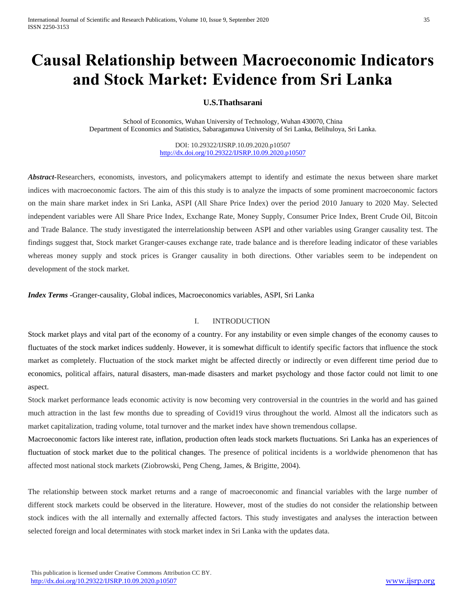# **Causal Relationship between Macroeconomic Indicators and Stock Market: Evidence from Sri Lanka**

# **U.S.Thathsarani**

School of Economics, Wuhan University of Technology, Wuhan 430070, China Department of Economics and Statistics, Sabaragamuwa University of Sri Lanka, Belihuloya, Sri Lanka.

> DOI: 10.29322/IJSRP.10.09.2020.p10507 <http://dx.doi.org/10.29322/IJSRP.10.09.2020.p10507>

*Abstract***-**Researchers, economists, investors, and policymakers attempt to identify and estimate the nexus between share market indices with macroeconomic factors. The aim of this this study is to analyze the impacts of some prominent macroeconomic factors on the main share market index in Sri Lanka, ASPI (All Share Price Index) over the period 2010 January to 2020 May. Selected independent variables were All Share Price Index, Exchange Rate, Money Supply, Consumer Price Index, Brent Crude Oil, Bitcoin and Trade Balance. The study investigated the interrelationship between ASPI and other variables using Granger causality test. The findings suggest that, Stock market Granger-causes exchange rate, trade balance and is therefore leading indicator of these variables whereas money supply and stock prices is Granger causality in both directions. Other variables seem to be independent on development of the stock market.

*Index Terms -*Granger-causality, Global indices, Macroeconomics variables, ASPI, Sri Lanka

# I. INTRODUCTION

Stock market plays and vital part of the economy of a country. For any instability or even simple changes of the economy causes to fluctuates of the stock market indices suddenly. However, it is somewhat difficult to identify specific factors that influence the stock market as completely. Fluctuation of the stock market might be affected directly or indirectly or even different time period due to economics, political affairs, natural disasters, man-made disasters and market psychology and those factor could not limit to one aspect.

Stock market performance leads economic activity is now becoming very controversial in the countries in the world and has gained much attraction in the last few months due to spreading of Covid19 virus throughout the world. Almost all the indicators such as market capitalization, trading volume, total turnover and the market index have shown tremendous collapse.

Macroeconomic factors like interest rate, inflation, production often leads stock markets fluctuations. Sri Lanka has an experiences of fluctuation of stock market due to the political changes. The presence of political incidents is a worldwide phenomenon that has affected most national stock markets (Ziobrowski, Peng Cheng, James, & Brigitte, 2004).

The relationship between stock market returns and a range of macroeconomic and financial variables with the large number of different stock markets could be observed in the literature. However, most of the studies do not consider the relationship between stock indices with the all internally and externally affected factors. This study investigates and analyses the interaction between selected foreign and local determinates with stock market index in Sri Lanka with the updates data.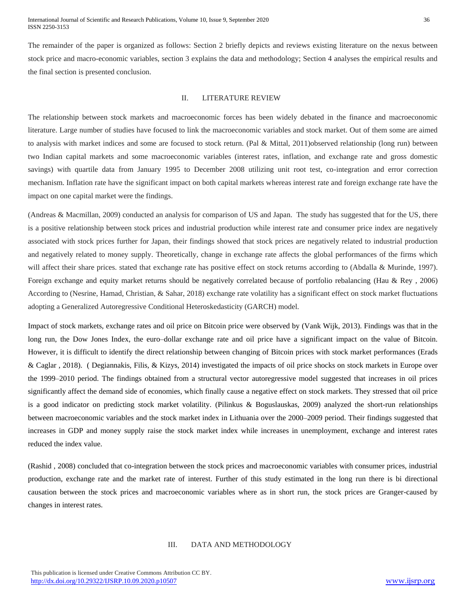The remainder of the paper is organized as follows: Section 2 briefly depicts and reviews existing literature on the nexus between stock price and macro-economic variables, section 3 explains the data and methodology; Section 4 analyses the empirical results and the final section is presented conclusion.

#### II. LITERATURE REVIEW

The relationship between stock markets and macroeconomic forces has been widely debated in the finance and macroeconomic literature. Large number of studies have focused to link the macroeconomic variables and stock market. Out of them some are aimed to analysis with market indices and some are focused to stock return. (Pal & Mittal, 2011)observed relationship (long run) between two Indian capital markets and some macroeconomic variables (interest rates, inflation, and exchange rate and gross domestic savings) with quartile data from January 1995 to December 2008 utilizing unit root test, co-integration and error correction mechanism. Inflation rate have the significant impact on both capital markets whereas interest rate and foreign exchange rate have the impact on one capital market were the findings.

(Andreas & Macmillan, 2009) conducted an analysis for comparison of US and Japan. The study has suggested that for the US, there is a positive relationship between stock prices and industrial production while interest rate and consumer price index are negatively associated with stock prices further for Japan, their findings showed that stock prices are negatively related to industrial production and negatively related to money supply. Theoretically, change in exchange rate affects the global performances of the firms which will affect their share prices. stated that exchange rate has positive effect on stock returns according to (Abdalla & Murinde, 1997). Foreign exchange and equity market returns should be negatively correlated because of portfolio rebalancing (Hau & Rey , 2006) According to (Nesrine, Hamad, Christian, & Sahar, 2018) exchange rate volatility has a significant effect on stock market fluctuations adopting a Generalized Autoregressive Conditional Heteroskedasticity (GARCH) model.

Impact of stock markets, exchange rates and oil price on Bitcoin price were observed by (Vank Wijk, 2013). Findings was that in the long run, the Dow Jones Index, the euro–dollar exchange rate and oil price have a significant impact on the value of Bitcoin. However, it is difficult to identify the direct relationship between changing of Bitcoin prices with stock market performances (Erads & Caglar , 2018). ( Degiannakis, Filis, & Kizys, 2014) investigated the impacts of oil price shocks on stock markets in Europe over the 1999–2010 period. The findings obtained from a structural vector autoregressive model suggested that increases in oil prices significantly affect the demand side of economies, which finally cause a negative effect on stock markets. They stressed that oil price is a good indicator on predicting stock market volatility. (Pilinkus & Boguslauskas, 2009) analyzed the short-run relationships between macroeconomic variables and the stock market index in Lithuania over the 2000–2009 period. Their findings suggested that increases in GDP and money supply raise the stock market index while increases in unemployment, exchange and interest rates reduced the index value.

(Rashid , 2008) concluded that co-integration between the stock prices and macroeconomic variables with consumer prices, industrial production, exchange rate and the market rate of interest. Further of this study estimated in the long run there is bi directional causation between the stock prices and macroeconomic variables where as in short run, the stock prices are Granger-caused by changes in interest rates.

# III. DATA AND METHODOLOGY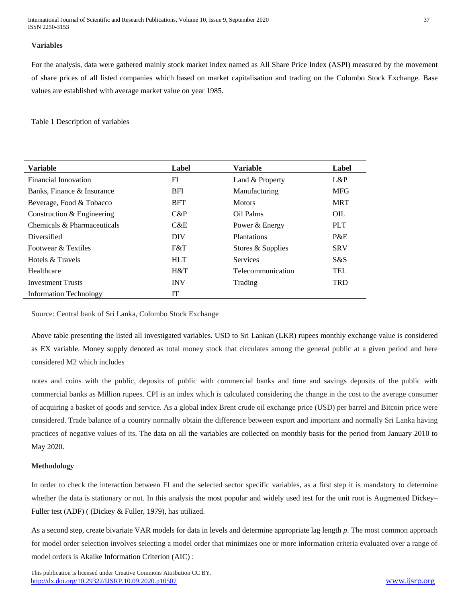International Journal of Scientific and Research Publications, Volume 10, Issue 9, September 2020 37 ISSN 2250-3153

## **Variables**

For the analysis, data were gathered mainly stock market index named as All Share Price Index (ASPI) measured by the movement of share prices of all listed companies which based on market capitalisation and trading on the Colombo Stock Exchange. Base values are established with average market value on year 1985.

Table 1 Description of variables

| <b>Variable</b>               | Label      | <b>Variable</b>   | Label      |
|-------------------------------|------------|-------------------|------------|
| <b>Financial Innovation</b>   | FI         | Land & Property   | L&P        |
| Banks, Finance & Insurance    | <b>BFI</b> | Manufacturing     | <b>MFG</b> |
| Beverage, Food & Tobacco      | <b>BFT</b> | <b>Motors</b>     | <b>MRT</b> |
| Construction & Engineering    | $C\&P$     | Oil Palms         | OIL        |
| Chemicals & Pharmaceuticals   | C&E        | Power & Energy    | <b>PLT</b> |
| Diversified                   | <b>DIV</b> | Plantations       | P&E        |
| Footwear & Textiles           | F&T        | Stores & Supplies | <b>SRV</b> |
| Hotels & Travels              | <b>HLT</b> | <b>Services</b>   | S&S        |
| Healthcare                    | H&T        | Telecommunication | TEL        |
| <b>Investment Trusts</b>      | <b>INV</b> | Trading           | <b>TRD</b> |
| <b>Information Technology</b> | <b>IT</b>  |                   |            |

Source: Central bank of Sri Lanka, Colombo Stock Exchange

Above table presenting the listed all investigated variables. USD to Sri Lankan (LKR) rupees monthly exchange value is considered as EX variable. Money supply denoted as total money stock that circulates among the general public at a given period and here considered M2 which includes

notes and coins with the public, deposits of public with commercial banks and time and savings deposits of the public with commercial banks as Million rupees. CPI is an index which is calculated considering the change in the cost to the average consumer of acquiring a basket of goods and service. As a global index Brent crude oil exchange price (USD) per barrel and Bitcoin price were considered. Trade balance of a country normally obtain the difference between export and important and normally Sri Lanka having practices of negative values of its. The data on all the variables are collected on monthly basis for the period from January 2010 to May 2020.

## **Methodology**

In order to check the interaction between FI and the selected sector specific variables, as a first step it is mandatory to determine whether the data is stationary or not. In this analysis the most popular and widely used test for the unit root is Augmented Dickey– Fuller test (ADF) ( (Dickey & Fuller, 1979), has utilized.

As a second step, create bivariate VAR models for data in levels and determine appropriate lag length *p*. The most common approach for model order selection involves selecting a model order that minimizes one or more information criteria evaluated over a range of model orders is Akaike Information Criterion (AIC) :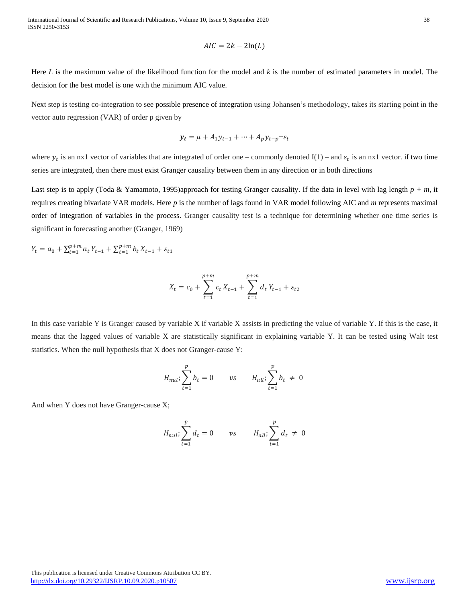$$
AIC = 2k - 2\ln(L)
$$

Here *L* is the maximum value of the likelihood function for the model and *k* is the number of estimated parameters in model. The decision for the best model is one with the minimum AIC value.

Next step is testing co-integration to see possible presence of integration using Johansen's methodology, takes its starting point in the vector auto regression (VAR) of order p given by

$$
\mathbf{y}_t = \mu + A_1 \mathbf{y}_{t-1} + \dots + A_p \mathbf{y}_{t-p} + \varepsilon_t
$$

where  $y_t$  is an nx1 vector of variables that are integrated of order one – commonly denoted I(1) – and  $\varepsilon_t$  is an nx1 vector. if two time series are integrated, then there must exist Granger causality between them in any direction or in both directions

Last step is to apply (Toda & Yamamoto, 1995)approach for testing Granger causality. If the data in level with lag length *p + m*, it requires creating bivariate VAR models. Here *p* is the number of lags found in VAR model following AIC and *m* represents maximal order of integration of variables in the process. Granger causality test is a technique for determining whether one time series is significant in forecasting another (Granger, 1969)

$$
Y_t = a_0 + \sum_{t=1}^{p+m} a_t Y_{t-1} + \sum_{t=1}^{p+m} b_t X_{t-1} + \varepsilon_{t1}
$$

$$
X_t = c_0 + \sum_{t=1}^{p+m} c_t X_{t-1} + \sum_{t=1}^{p+m} d_t Y_{t-1} + \varepsilon_{t2}
$$

In this case variable Y is Granger caused by variable X if variable X assists in predicting the value of variable Y. If this is the case, it means that the lagged values of variable X are statistically significant in explaining variable Y. It can be tested using Walt test statistics. When the null hypothesis that X does not Granger-cause Y:

$$
H_{nul} \sum_{t=1}^{p} b_t = 0 \qquad vs \qquad H_{all} \sum_{t=1}^{p} b_t \neq 0
$$

And when Y does not have Granger-cause X;

$$
H_{nul}, \sum_{t=1}^{p} d_t = 0 \qquad vs \qquad H_{all}, \sum_{t=1}^{p} d_t \neq 0
$$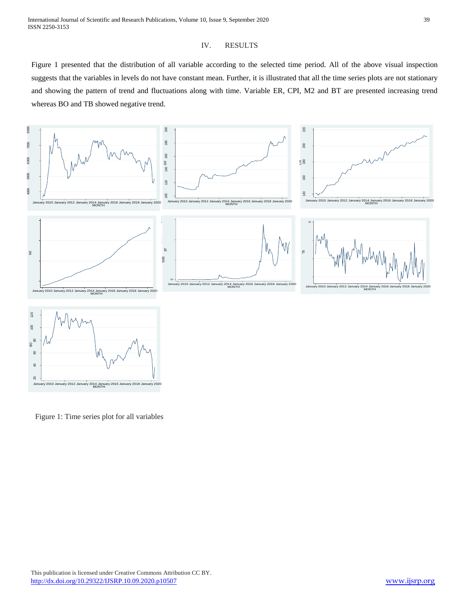## IV. RESULTS

Figure 1 presented that the distribution of all variable according to the selected time period. All of the above visual inspection suggests that the variables in levels do not have constant mean. Further, it is illustrated that all the time series plots are not stationary and showing the pattern of trend and fluctuations along with time. Variable ER, CPI, M2 and BT are presented increasing trend whereas BO and TB showed negative trend.



Figure 1: Time series plot for all variables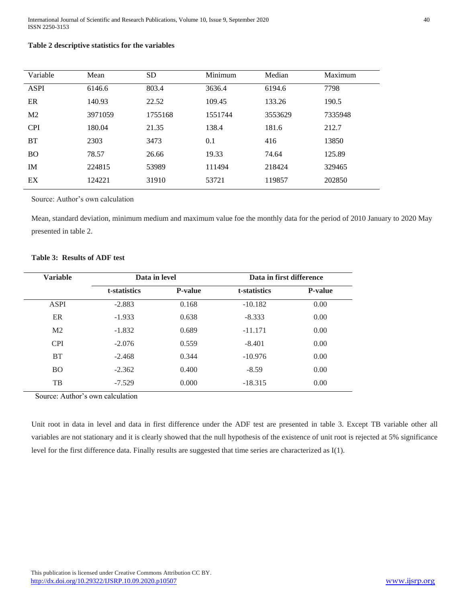# **Table 2 descriptive statistics for the variables**

| Variable       | Mean    | <b>SD</b> | Minimum | Median  | Maximum |
|----------------|---------|-----------|---------|---------|---------|
| <b>ASPI</b>    | 6146.6  | 803.4     | 3636.4  | 6194.6  | 7798    |
| ER             | 140.93  | 22.52     | 109.45  | 133.26  | 190.5   |
| M <sub>2</sub> | 3971059 | 1755168   | 1551744 | 3553629 | 7335948 |
| <b>CPI</b>     | 180.04  | 21.35     | 138.4   | 181.6   | 212.7   |
| <b>BT</b>      | 2303    | 3473      | 0.1     | 416     | 13850   |
| <b>BO</b>      | 78.57   | 26.66     | 19.33   | 74.64   | 125.89  |
| IM             | 224815  | 53989     | 111494  | 218424  | 329465  |
| EX             | 124221  | 31910     | 53721   | 119857  | 202850  |

Source: Author's own calculation

Mean, standard deviation, minimum medium and maximum value foe the monthly data for the period of 2010 January to 2020 May presented in table 2.

# **Table 3: Results of ADF test**

| <b>Variable</b> | Data in level |                | Data in first difference |                |
|-----------------|---------------|----------------|--------------------------|----------------|
|                 | t-statistics  | <b>P-value</b> | t-statistics             | <b>P-value</b> |
| <b>ASPI</b>     | $-2.883$      | 0.168          | $-10.182$                | 0.00           |
| ER              | $-1.933$      | 0.638          | $-8.333$                 | 0.00           |
| M <sub>2</sub>  | $-1.832$      | 0.689          | $-11.171$                | 0.00           |
| <b>CPI</b>      | $-2.076$      | 0.559          | $-8.401$                 | 0.00           |
| <b>BT</b>       | $-2.468$      | 0.344          | $-10.976$                | 0.00           |
| <b>BO</b>       | $-2.362$      | 0.400          | $-8.59$                  | 0.00           |
| TB              | $-7.529$      | 0.000          | $-18.315$                | 0.00           |

Source: Author's own calculation

Unit root in data in level and data in first difference under the ADF test are presented in table 3. Except TB variable other all variables are not stationary and it is clearly showed that the null hypothesis of the existence of unit root is rejected at 5% significance level for the first difference data. Finally results are suggested that time series are characterized as I(1).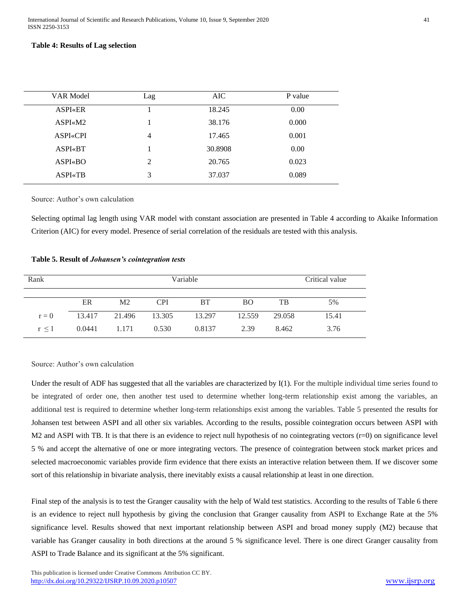## **Table 4: Results of Lag selection**

| VAR Model       | Lag            | AIC     | P value |
|-----------------|----------------|---------|---------|
| <b>ASPI</b> «ER |                | 18.245  | 0.00    |
| $ASPI \ll M2$   |                | 38.176  | 0.000   |
| <b>ASPI«CPI</b> | 4              | 17.465  | 0.001   |
| <b>ASPI«BT</b>  |                | 30.8908 | 0.00    |
| $ASPI$ $\&BO$   | $\mathfrak{D}$ | 20.765  | 0.023   |
| <b>ASPI</b> «TB | 3              | 37.037  | 0.089   |
|                 |                |         |         |

Source: Author's own calculation

Selecting optimal lag length using VAR model with constant association are presented in Table 4 according to Akaike Information Criterion (AIC) for every model. Presence of serial correlation of the residuals are tested with this analysis.

#### **Table 5. Result of** *Johansen's cointegration tests*

| Rank       | Variable |                |            |           |           | Critical value |       |
|------------|----------|----------------|------------|-----------|-----------|----------------|-------|
|            |          |                |            |           |           |                |       |
|            | ER       | M <sub>2</sub> | <b>CPI</b> | <b>BT</b> | <b>BO</b> | TB             | 5%    |
| $r = 0$    | 13.417   | 21.496         | 13.305     | 13.297    | 12.559    | 29.058         | 15.41 |
| $r \leq 1$ | 0.0441   | 1.171          | 0.530      | 0.8137    | 2.39      | 8.462          | 3.76  |

Source: Author's own calculation

Under the result of ADF has suggested that all the variables are characterized by I(1). For the multiple individual time series found to be integrated of order one, then another test used to determine whether long-term relationship exist among the variables, an additional test is required to determine whether long-term relationships exist among the variables. Table 5 presented the results for Johansen test between ASPI and all other six variables. According to the results, possible cointegration occurs between ASPI with M2 and ASPI with TB. It is that there is an evidence to reject null hypothesis of no cointegrating vectors (r=0) on significance level 5 % and accept the alternative of one or more integrating vectors. The presence of cointegration between stock market prices and selected macroeconomic variables provide firm evidence that there exists an interactive relation between them. If we discover some sort of this relationship in bivariate analysis, there inevitably exists a causal relationship at least in one direction.

Final step of the analysis is to test the Granger causality with the help of Wald test statistics. According to the results of Table 6 there is an evidence to reject null hypothesis by giving the conclusion that Granger causality from ASPI to Exchange Rate at the 5% significance level. Results showed that next important relationship between ASPI and broad money supply (M2) because that variable has Granger causality in both directions at the around 5 % significance level. There is one direct Granger causality from ASPI to Trade Balance and its significant at the 5% significant.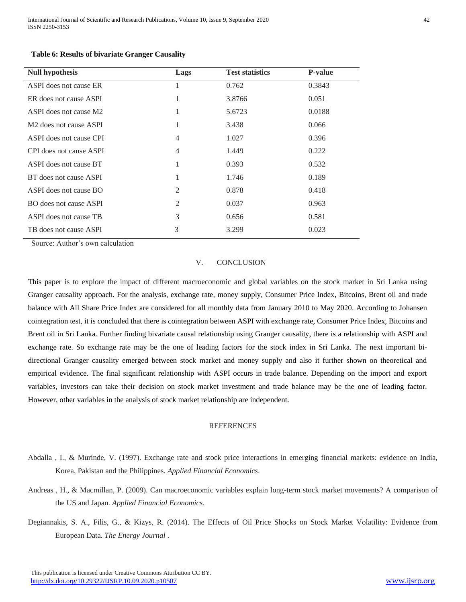| <b>Null hypothesis</b>             | Lags           | <b>Test statistics</b> | <b>P</b> -value |
|------------------------------------|----------------|------------------------|-----------------|
| ASPI does not cause ER             | 1              | 0.762                  | 0.3843          |
| ER does not cause ASPI             | 1              | 3.8766                 | 0.051           |
| ASPI does not cause M2             | 1              | 5.6723                 | 0.0188          |
| M <sub>2</sub> does not cause ASPI | 1              | 3.438                  | 0.066           |
| ASPI does not cause CPI            | 4              | 1.027                  | 0.396           |
| CPI does not cause ASPI            | $\overline{4}$ | 1.449                  | 0.222           |
| ASPI does not cause BT             | 1              | 0.393                  | 0.532           |
| BT does not cause ASPI             | 1              | 1.746                  | 0.189           |
| ASPI does not cause BO             | 2              | 0.878                  | 0.418           |
| BO does not cause ASPI             | $\overline{2}$ | 0.037                  | 0.963           |
| ASPI does not cause TB             | 3              | 0.656                  | 0.581           |
| TB does not cause ASPI             | 3              | 3.299                  | 0.023           |

## **Table 6: Results of bivariate Granger Causality**

Source: Author's own calculation

## V. CONCLUSION

This paper is to explore the impact of different macroeconomic and global variables on the stock market in Sri Lanka using Granger causality approach. For the analysis, exchange rate, money supply, Consumer Price Index, Bitcoins, Brent oil and trade balance with All Share Price Index are considered for all monthly data from January 2010 to May 2020. According to Johansen cointegration test, it is concluded that there is cointegration between ASPI with exchange rate, Consumer Price Index, Bitcoins and Brent oil in Sri Lanka. Further finding bivariate causal relationship using Granger causality, there is a relationship with ASPI and exchange rate. So exchange rate may be the one of leading factors for the stock index in Sri Lanka. The next important bidirectional Granger causality emerged between stock market and money supply and also it further shown on theoretical and empirical evidence. The final significant relationship with ASPI occurs in trade balance. Depending on the import and export variables, investors can take their decision on stock market investment and trade balance may be the one of leading factor. However, other variables in the analysis of stock market relationship are independent.

## **REFERENCES**

- Abdalla , I., & Murinde, V. (1997). Exchange rate and stock price interactions in emerging financial markets: evidence on India, Korea, Pakistan and the Philippines. *Applied Financial Economics*.
- Andreas , H., & Macmillan, P. (2009). Can macroeconomic variables explain long-term stock market movements? A comparison of the US and Japan. *Applied Financial Economics*.
- Degiannakis, S. A., Filis, G., & Kizys, R. (2014). The Effects of Oil Price Shocks on Stock Market Volatility: Evidence from European Data. *The Energy Journal* .